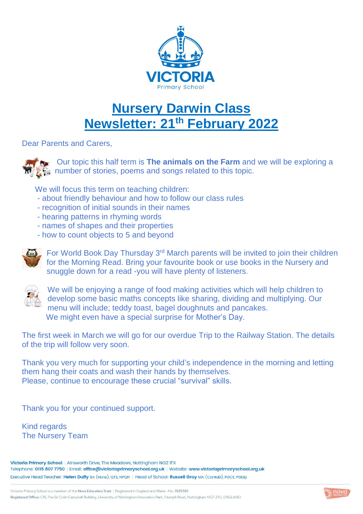

## **Nursery Darwin Class Newsletter: 21 th February 2022**

Dear Parents and Carers,



**Our topic this half term is The animals on the Farm** and we will be exploring a **number of stories, poems and songs related to this topic.** 

We will focus this term on teaching children:

- about friendly behaviour and how to follow our class rules
- recognition of initial sounds in their names
- hearing patterns in rhyming words
- names of shapes and their properties
- how to count objects to 5 and beyond



 $\Box$  For World Book Day Thursday 3<sup>rd</sup> March parents will be invited to join their children for the Morning Read. Bring your favourite book or use books in the Nursery and snuggle down for a read -you will have plenty of listeners.



We will be enjoying a range of food making activities which will help children to develop some basic maths concepts like sharing, dividing and multiplying. Our menu will include; teddy toast, bagel doughnuts and pancakes. We might even have a special surprise for Mother's Day.

The first week in March we will go for our overdue Trip to the Railway Station. The details of the trip will follow very soon.

Thank you very much for supporting your child's independence in the morning and letting them hang their coats and wash their hands by themselves. Please, continue to encourage these crucial "survival" skills.

Thank you for your continued support.

Kind regards The Nursery Team

Victoria Primary School | Ainsworth Drive, The Meadows, Nottingham NG2 IFX Telephone: 0115 807 7750 | Email: office@victoriaprimaryschool.org.uk | Website: www.victoriaprimaryschool.org.uk Executive Head Teacher: Helen Duffy BA (Hons), QTS, NPQH | Head of School: Russell Gray MA (Cantab), PGCE, PGDip